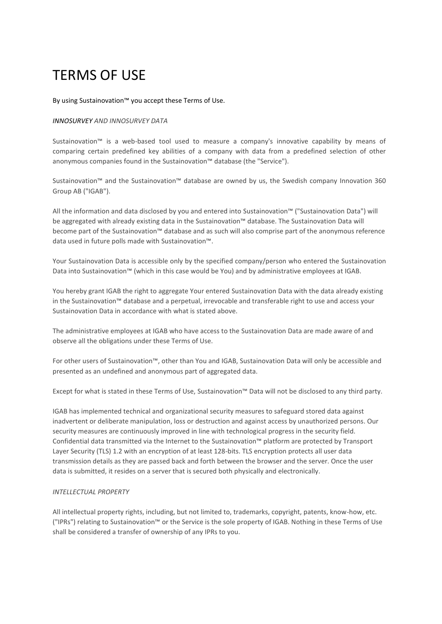# TERMS OF USE

By using Sustainovation™ you accept these Terms of Use.

#### *INNOSURVEY AND INNOSURVEY DATA*

Sustainovation™ is a web-based tool used to measure a company's innovative capability by means of comparing certain predefined key abilities of a company with data from a predefined selection of other anonymous companies found in the Sustainovation™ database (the "Service").

Sustainovation™ and the Sustainovation™ database are owned by us, the Swedish company Innovation 360 Group AB ("IGAB").

All the information and data disclosed by you and entered into Sustainovation™ ("Sustainovation Data") will be aggregated with already existing data in the Sustainovation™ database. The Sustainovation Data will become part of the Sustainovation™ database and as such will also comprise part of the anonymous reference data used in future polls made with Sustainovation™.

Your Sustainovation Data is accessible only by the specified company/person who entered the Sustainovation Data into Sustainovation™ (which in this case would be You) and by administrative employees at IGAB.

You hereby grant IGAB the right to aggregate Your entered Sustainovation Data with the data already existing in the Sustainovation™ database and a perpetual, irrevocable and transferable right to use and access your Sustainovation Data in accordance with what is stated above.

The administrative employees at IGAB who have access to the Sustainovation Data are made aware of and observe all the obligations under these Terms of Use.

For other users of Sustainovation™, other than You and IGAB, Sustainovation Data will only be accessible and presented as an undefined and anonymous part of aggregated data.

Except for what is stated in these Terms of Use, Sustainovation™ Data will not be disclosed to any third party.

IGAB has implemented technical and organizational security measures to safeguard stored data against inadvertent or deliberate manipulation, loss or destruction and against access by unauthorized persons. Our security measures are continuously improved in line with technological progress in the security field. Confidential data transmitted via the Internet to the Sustainovation™ platform are protected by Transport Layer Security (TLS) 1.2 with an encryption of at least 128-bits. TLS encryption protects all user data transmission details as they are passed back and forth between the browser and the server. Once the user data is submitted, it resides on a server that is secured both physically and electronically.

# *INTELLECTUAL PROPERTY*

All intellectual property rights, including, but not limited to, trademarks, copyright, patents, know-how, etc. ("IPRs") relating to Sustainovation™ or the Service is the sole property of IGAB. Nothing in these Terms of Use shall be considered a transfer of ownership of any IPRs to you.